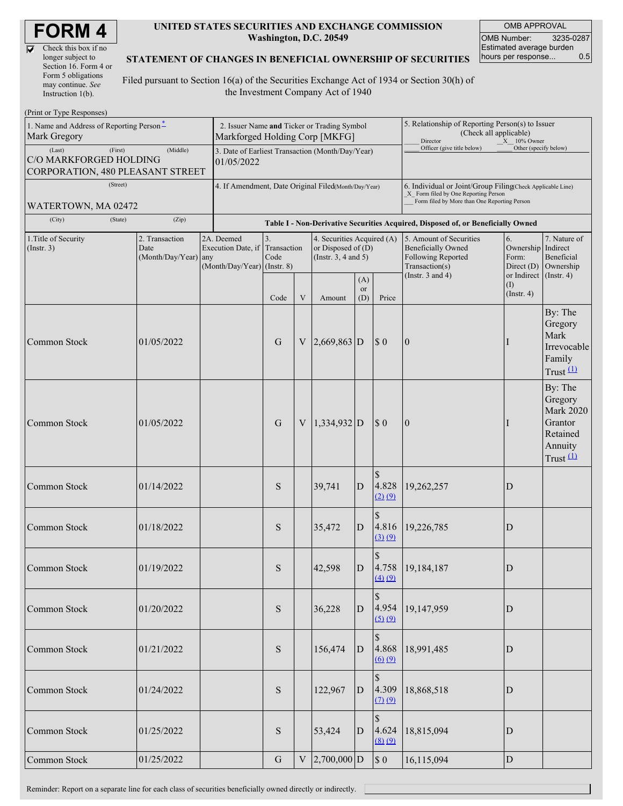| <b>FORM 4</b> |  |
|---------------|--|
|---------------|--|

 $\overline{\nabla}$ 

| Check this box if no  |
|-----------------------|
| longer subject to     |
| Section 16. Form 4 or |
| Form 5 obligations    |
| may continue. See     |
| Instruction $1(b)$ .  |

#### **UNITED STATES SECURITIES AND EXCHANGE COMMISSION Washington, D.C. 20549**

OMB APPROVAL OMB Number: 3235-0287 Estimated average burden hours per response... 0.5

#### **STATEMENT OF CHANGES IN BENEFICIAL OWNERSHIP OF SECURITIES**

Filed pursuant to Section 16(a) of the Securities Exchange Act of 1934 or Section 30(h) of the Investment Company Act of 1940

| (Print or Type Responses)                                            |                                                                |                              |                                                               |                                             |              |                                                                                                            |                                                                                  |                                                                                                                                                    |                                                                                              |                                                 |                                                                                         |  |  |
|----------------------------------------------------------------------|----------------------------------------------------------------|------------------------------|---------------------------------------------------------------|---------------------------------------------|--------------|------------------------------------------------------------------------------------------------------------|----------------------------------------------------------------------------------|----------------------------------------------------------------------------------------------------------------------------------------------------|----------------------------------------------------------------------------------------------|-------------------------------------------------|-----------------------------------------------------------------------------------------|--|--|
| 1. Name and Address of Reporting Person-<br>Mark Gregory             | Markforged Holding Corp [MKFG]                                 |                              |                                                               | 2. Issuer Name and Ticker or Trading Symbol |              | 5. Relationship of Reporting Person(s) to Issuer<br>(Check all applicable)<br>Director<br>$X = 10\%$ Owner |                                                                                  |                                                                                                                                                    |                                                                                              |                                                 |                                                                                         |  |  |
| (Last)<br>C/O MARKFORGED HOLDING<br>CORPORATION, 480 PLEASANT STREET | 3. Date of Earliest Transaction (Month/Day/Year)<br>01/05/2022 |                              |                                                               |                                             |              | Officer (give title below)                                                                                 | Other (specify below)                                                            |                                                                                                                                                    |                                                                                              |                                                 |                                                                                         |  |  |
| (Street)                                                             |                                                                |                              | 4. If Amendment, Date Original Filed(Month/Day/Year)          |                                             |              |                                                                                                            |                                                                                  | 6. Individual or Joint/Group Filing(Check Applicable Line)<br>X Form filed by One Reporting Person<br>Form filed by More than One Reporting Person |                                                                                              |                                                 |                                                                                         |  |  |
| WATERTOWN, MA 02472<br>(City)                                        | (State)                                                        | (Zip)                        |                                                               |                                             |              |                                                                                                            |                                                                                  |                                                                                                                                                    |                                                                                              |                                                 |                                                                                         |  |  |
|                                                                      |                                                                | 2. Transaction               | 2A. Deemed                                                    | 3.                                          |              |                                                                                                            | Table I - Non-Derivative Securities Acquired, Disposed of, or Beneficially Owned |                                                                                                                                                    |                                                                                              |                                                 |                                                                                         |  |  |
| 1. Title of Security<br>(Insert. 3)                                  |                                                                | Date<br>(Month/Day/Year) any | Execution Date, if Transaction<br>(Month/Day/Year) (Instr. 8) | Code                                        |              | 4. Securities Acquired (A)<br>or Disposed of $(D)$<br>(Instr. $3, 4$ and $5$ )                             |                                                                                  |                                                                                                                                                    | 5. Amount of Securities<br><b>Beneficially Owned</b><br>Following Reported<br>Transaction(s) | 6.<br>Ownership Indirect<br>Form:<br>Direct (D) | 7. Nature of<br>Beneficial<br>Ownership                                                 |  |  |
|                                                                      |                                                                |                              |                                                               | Code                                        | V            | Amount                                                                                                     | (A)<br><b>or</b><br>(D)                                                          | Price                                                                                                                                              | (Instr. $3$ and $4$ )                                                                        | or Indirect<br>(I)<br>$($ Instr. 4 $)$          | $($ Instr. 4)                                                                           |  |  |
| Common Stock                                                         |                                                                | 01/05/2022                   |                                                               | G                                           | V            | $2,669,863$ D                                                                                              |                                                                                  | $\boldsymbol{\mathsf{S}}$ 0                                                                                                                        | $\mathbf{0}$                                                                                 |                                                 | By: The<br>Gregory<br>Mark<br>Irrevocable<br>Family<br>Trust $(1)$                      |  |  |
| Common Stock                                                         |                                                                | 01/05/2022                   |                                                               | $\mathbf G$                                 | $\mathbf{V}$ | $1,334,932$ D                                                                                              |                                                                                  | $\sqrt{3}0$                                                                                                                                        | $\overline{0}$                                                                               |                                                 | By: The<br>Gregory<br><b>Mark 2020</b><br>Grantor<br>Retained<br>Annuity<br>Trust $(1)$ |  |  |
| Common Stock                                                         |                                                                | 01/14/2022                   |                                                               | S                                           |              | 39,741                                                                                                     | D                                                                                | $\mathcal{S}$<br>4.828<br>(2) (9)                                                                                                                  | 19,262,257                                                                                   | D                                               |                                                                                         |  |  |
| Common Stock                                                         |                                                                | 01/18/2022                   |                                                               | S                                           |              | 35,472                                                                                                     | D                                                                                | $\mathcal{S}$<br>4.816<br>(3) (9)                                                                                                                  | 19,226,785                                                                                   | D                                               |                                                                                         |  |  |
| Common Stock                                                         |                                                                | 01/19/2022                   |                                                               | S                                           |              | 42,598                                                                                                     | D                                                                                | \$<br>(4) (9)                                                                                                                                      | 4.758 19,184,187                                                                             | D                                               |                                                                                         |  |  |
| Common Stock                                                         |                                                                | 01/20/2022                   |                                                               | ${\bf S}$                                   |              | 36,228                                                                                                     | $\mathbf{D}$                                                                     | $\mathcal{S}$<br>4.954<br>(5) (9)                                                                                                                  | 19,147,959                                                                                   | ${\rm D}$                                       |                                                                                         |  |  |
| Common Stock                                                         |                                                                | 01/21/2022                   |                                                               | ${\bf S}$                                   |              | 156,474                                                                                                    | $\mathbf{D}$                                                                     | 4.868<br>$\underline{(6)}\underline{(9)}$                                                                                                          | 18,991,485                                                                                   | D                                               |                                                                                         |  |  |
| Common Stock                                                         |                                                                | 01/24/2022                   |                                                               | ${\bf S}$                                   |              | 122,967                                                                                                    | $\mathbf{D}$                                                                     | \$<br>4.309<br>$(7)$ $(9)$                                                                                                                         | 18,868,518                                                                                   | ${\rm D}$                                       |                                                                                         |  |  |
| Common Stock                                                         |                                                                | 01/25/2022                   |                                                               | ${\bf S}$                                   |              | 53,424                                                                                                     | $\mathbf{D}$                                                                     | $\mathbb{S}$<br>4.624<br>(8) (9)                                                                                                                   | 18,815,094                                                                                   | ${\rm D}$                                       |                                                                                         |  |  |
| Common Stock                                                         |                                                                | 01/25/2022                   |                                                               | ${\bf G}$                                   | $\mathbf V$  | $2,700,000$ D                                                                                              |                                                                                  | $\boldsymbol{\mathsf{S}}$ 0                                                                                                                        | 16,115,094                                                                                   | ${\rm D}$                                       |                                                                                         |  |  |